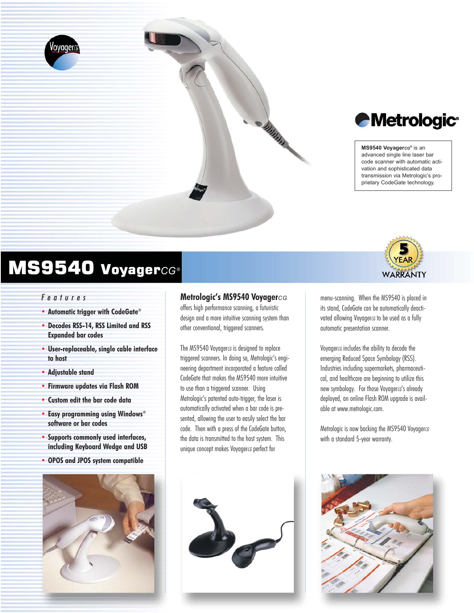

# *Metrologic®*

#### **MS9540 Voyager***CG®* is an

advanced single line laser bar code scanner with automatic activation and sophisticated data transmission via Metrologic's proprietary CodeGate technology.

**WARRANTY** 

# MS9540 Voyager*CG*®

#### *Features*

- **• Automatic trigger with CodeGate®**
- **• Decodes RSS-14, RSS Limited and RSS Expanded bar codes**
- **• User-replaceable, single cable interface to host**
- **• Adjustable stand**
- **• Firmware updates via Flash ROM**
- **• Custom edit the bar code data**
- **• Easy programming using Windows® software or bar codes**
- **• Supports commonly used interfaces, including Keyboard Wedge and USB**
- **• OPOS and JPOS system compatible**



#### **Metrologic's MS9540 Voyager***CG*

offers high performance scanning, a futuristic design and a more intuitive scanning system than other conventional, triggered scanners.

The MS9540 Voyagerc<sub>G</sub> is designed to replace triggered scanners. In doing so, Metrologic's engineering department incorporated a feature called CodeGate that makes the MS9540 more intuitive to use than a triggered scanner. Using Metrologic's patented auto-trigger, the laser is automatically activated when a bar code is presented, allowing the user to easily select the bar code. Then with a press of the CodeGate button, the data is transmitted to the host system. This unique concept makes Voyager*cG* perfect for



Voyager*CG* includes the ability to decode the emerging Reduced Space Symbology (RSS). Industries including supermarkets, pharmaceutical, and healthcare are beginning to utilize this new symbology. For those Voyagercs's already deployed, an online Flash ROM upgrade is available at www.metrologic.com.

Metrologic is now backing the MS9540 Voyager*CG* with a standard 5-year warranty.



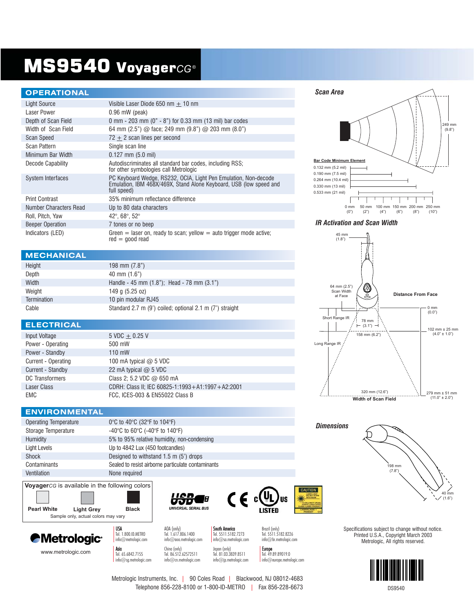# MS9540 Voyager*CG*®

#### **OPERATIONAL**

| Light Source            | Visible Laser Diode 650 nm $+$ 10 nm                                                                                                                 |
|-------------------------|------------------------------------------------------------------------------------------------------------------------------------------------------|
| Laser Power             | $0.96$ mW (peak)                                                                                                                                     |
| Depth of Scan Field     | 0 mm - 203 mm (0" - 8") for 0.33 mm (13 mil) bar codes                                                                                               |
| Width of Scan Field     | 64 mm $(2.5")$ @ face; 249 mm $(9.8")$ @ 203 mm $(8.0")$                                                                                             |
| <b>Scan Speed</b>       | $72 + 2$ scan lines per second                                                                                                                       |
| Scan Pattern            | Single scan line                                                                                                                                     |
| Minimum Bar Width       | $0.127$ mm $(5.0$ mil)                                                                                                                               |
| Decode Capability       | Autodiscriminates all standard bar codes, including RSS;<br>for other symbologies call Metrologic                                                    |
| System Interfaces       | PC Keyboard Wedge, RS232, OCIA, Light Pen Emulation, Non-decode<br>Emulation, IBM 468X/469X, Stand Alone Keyboard, USB (low speed and<br>full speed) |
| <b>Print Contrast</b>   | 35% minimum reflectance difference                                                                                                                   |
| Number Characters Read  | Up to 80 data characters                                                                                                                             |
| Roll, Pitch, Yaw        | 42°, 68°, 52°                                                                                                                                        |
| <b>Beeper Operation</b> | 7 tones or no beep                                                                                                                                   |
| Indicators (LED)        | Green $=$ laser on, ready to scan; yellow $=$ auto trigger mode active;<br>$red = good read$                                                         |

#### **MECHANICAL**

| Height             | 198 mm $(7.8")$                                          |
|--------------------|----------------------------------------------------------|
| Depth              | $40$ mm $(1.6")$                                         |
| Width              | Handle - 45 mm $(1.8)$ ; Head - 78 mm $(3.1)$            |
| Weight             | 149 $q(5.25 oz)$                                         |
| <b>Termination</b> | 10 pin modular RJ45                                      |
| Cable              | Standard 2.7 m (9') coiled; optional 2.1 m (7') straight |

#### **ELECTRICAL**

| Input Voltage       | $5 \text{ VDC} + 0.25 \text{ V}$                 |
|---------------------|--------------------------------------------------|
| Power - Operating   | 500 mW                                           |
| Power - Standby     | $110$ mW                                         |
| Current - Operating | 100 mA typical $@$ 5 VDC                         |
| Current - Standby   | 22 mA typical $\omega$ 5 VDC                     |
| DC Transformers     | Class 2; 5.2 VDC @ 650 mA                        |
| <b>Laser Class</b>  | CDRH: Class II; IEC 60825-1:1993+A1:1997+A2:2001 |
| EMC                 | FCC. ICES-003 & EN55022 Class B                  |

#### **ENVIRONMENTAL**

| <b>Operating Temperature</b> | 0°C to 40°C (32°F to 104°F)                                            |
|------------------------------|------------------------------------------------------------------------|
| Storage Temperature          | -40 $\degree$ C to 60 $\degree$ C (-40 $\degree$ F to 140 $\degree$ F) |
| <b>Humidity</b>              | 5% to 95% relative humidity, non-condensing                            |
| Light Levels                 | Up to 4842 Lux (450 footcandles)                                       |
| Shock                        | Designed to withstand 1.5 m (5') drops                                 |
| Contaminants                 | Sealed to resist airborne particulate contaminants                     |
| Ventilation                  | None required                                                          |

**Voyager***CG* is available in the following colors

Sample only, actual colors may vary **Pearl White Light Grey Black**







info@metrologic.com info@aoa.metrologic.com info@sa.metrologic.com info@br.metrologic.com





USA AOA (only) South America Brazil (only) Tel. 1.800.ID.METRO Tel. 1.617.806.1400 Tel. 5511.5182.7273 Tel. 5511.5182.8226

Asia China (only) Japan (only) Japan (only) Tel. 85.612.62572511 Tel. 85.513.8839.8511 Tel. 49.89.89019.0 info@sg.metrologic.com info@cn.metrologic.com info@jp.metrologic.com info@europe.metrologic.com

249 mm (9.8") **Bar Code Minimum Element** 0.132 mm (5.2 mil) 0.190 mm (7.5 mil) 0.264 mm (10.4 mil) 0.330 mm (13 mil) 0.533 mm (21 mil) Τ ┱ ı 0 mm 50 mm 100 mm 150 mm 200 mm 250 mm<br>(0") (2") (4") (6") (8") (10")  $(4")$ 

#### *IR Activation and Scan Width*

*Scan Area*





Specifications subject to change without notice. Printed U.S.A., Copyright March 2003 Metrologic, All rights reserved.



Metrologic Instruments, Inc. | 90 Coles Road | Blackwood, NJ 08012-4683 Telephone 856-228-8100 or 1-800-ID-METRO | Fax 856-228-6673

DS9540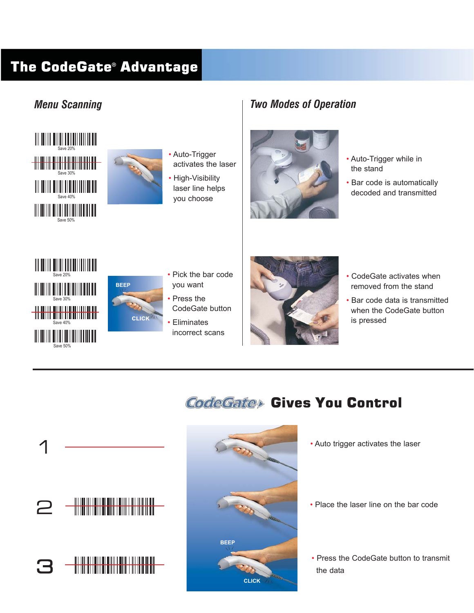## The CodeGate® Advantage

### *Menu Scanning*





- Auto-Trigger activates the laser
- High-Visibility laser line helps you choose

### *Two Modes of Operation*



- Auto-Trigger while in the stand
- Bar code is automatically decoded and transmitted





- Pick the bar code you want
- Press the CodeGate button
- Eliminates incorrect scans



- CodeGate activates when removed from the stand
- Bar code data is transmitted when the CodeGate button is pressed

## CodeGate> Gives You Control





- Auto trigger activates the laser
- Place the laser line on the bar code
- Press the CodeGate button to transmit the data